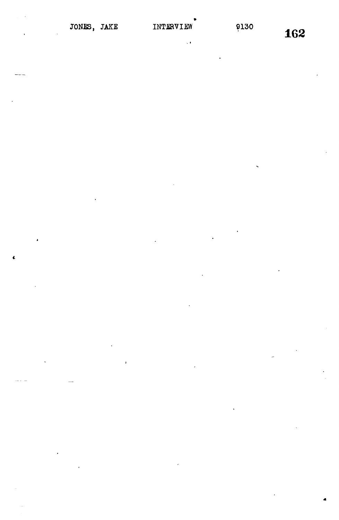JONES, JAKE INTERVIEW 9130

Ł

162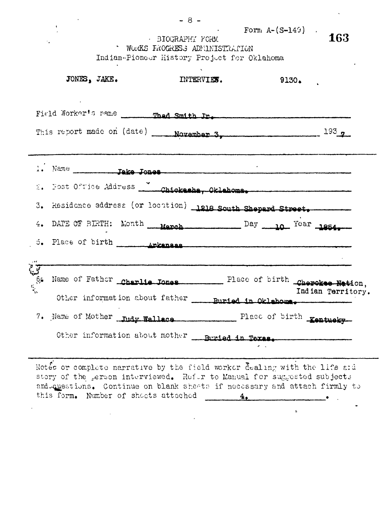|           |                                                                                                                                                                                                                                | BIOGRAPHT FORM<br>* WORKS FROGRESS ADMINISTRATION<br>Indian-Pioneer History Project for Oklahoma | $F \circ r \pi_1$ $A - (S-149)$ . |                                | 163               |
|-----------|--------------------------------------------------------------------------------------------------------------------------------------------------------------------------------------------------------------------------------|--------------------------------------------------------------------------------------------------|-----------------------------------|--------------------------------|-------------------|
|           | JONES, JAKE.                                                                                                                                                                                                                   | INTERVIES.                                                                                       |                                   | 9130.                          |                   |
|           | Field Worker's name Thad Smith Jr.                                                                                                                                                                                             |                                                                                                  |                                   |                                |                   |
|           | This report made on (date) ___ November 3. 193 p                                                                                                                                                                               |                                                                                                  |                                   |                                |                   |
|           |                                                                                                                                                                                                                                |                                                                                                  |                                   |                                |                   |
|           | 2. Post Office Address Chickesha, Oklahoma,                                                                                                                                                                                    |                                                                                                  |                                   |                                |                   |
|           | 3. Residence address (or location) 1218 South Shepard Street.                                                                                                                                                                  |                                                                                                  |                                   |                                |                   |
|           | 4. DATE OF BIRTH: Month March Day 10 Year 1854                                                                                                                                                                                 |                                                                                                  |                                   |                                |                   |
|           | 5. Place of birth Arkanass Manuel Communications of the contract of the contract of the contract of the contract of the contract of the contract of the contract of the contract of the contract of the contract of the contra |                                                                                                  |                                   |                                |                   |
| <b>ER</b> |                                                                                                                                                                                                                                |                                                                                                  |                                   |                                |                   |
|           | Name of Father Charlie Jones Place of birth Cherokee Nation,                                                                                                                                                                   |                                                                                                  |                                   |                                | Indian Territory. |
|           | Other information about father _______ Buried in Oklahoma                                                                                                                                                                      |                                                                                                  |                                   |                                |                   |
|           | 7. Name of Mother  hudy Wallace.                                                                                                                                                                                               |                                                                                                  |                                   | Place of birth <u>Fentucky</u> |                   |
|           | Other information about mother Revied in Taxas                                                                                                                                                                                 |                                                                                                  |                                   |                                |                   |

Notes or complete narrative by the field worker dealing with the life and story of the Lerson interviewed. Refor to Manual for suggested subjects and questions. Continue on blank sheets if necessary and attach firmly to this form. Number of sheets attached 4.

ż,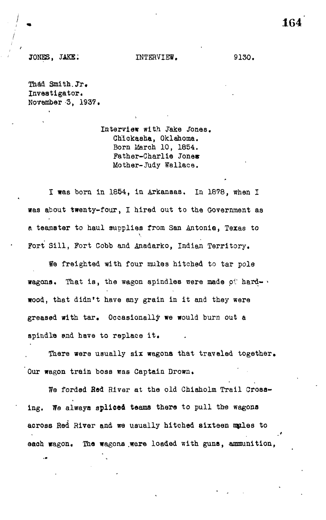JONES, JAKE: INTERVIEW. 9130.

Thad Smith. Jr. Investigator. November -3, 1937.

> Interview with Jake Jones, Chickasha, Oklahoma, Born March 10, 1854. Father-Charlie Jones Mother-Judy Wallace.

I was born in 1854, in Arkansas, In 1878, when I was about twenty-four, I hired out to the Government as a teamater to haul supplies from San Antonie, Texas to Fort Sill, Fort Cobb and Anadarko, Indian Territory.

We freighted with four mules hitched to tar pole wagons. That is, the wagon spindles were made of hardwood, that didn't have any grain in it and they were greased with tar. Occasionally we would burn out a spindle and have to replace it.

There were usually six wagons that traveled together. Our wagon train boss was Captain Drown.

We forded Red River at the old Chisholm Trail Crossing. We always spliced teams there to pull the wagons across Red River and we usually hitched sixteen mules to each wagon. The wagons were loaded with guns, ammunition,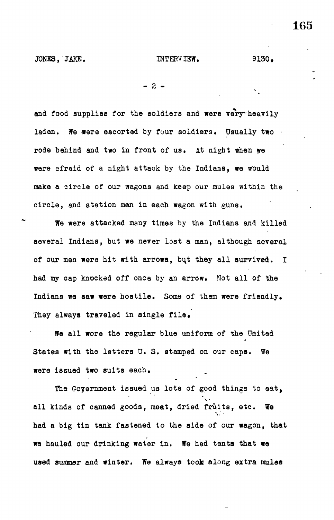JONES, JAKE. INTERVIEW. 9130.

 $- 2 -$ 

and food supplies for the soldiers and were very heavily laden. We were escorted by four soldiers. Usually two rode behind and two in front of us. At night when we were afraid of a night attack by the Indians, we would make a circle of our wagons and keep our mules within the circle, and station men in each wagon with guns.

We were attacked many times by the Indians and killed several Indians, but we never lost a man, although several of our men were hit with arrows, but they all survived. I had my cap knocked off once by an arrow. Not all of the Indians we saw were hostile. Some of them were friendly. They always traveled in single file.

We all wore the regular blue uniform of the United States with the letters U. S. stamped on our caps. We were issued two suits each.

The Goyernment issued us lots of good things to eat, all kinds of canned goods, meat, dried fruits, etc. We had a big tin tank fastened to the side of our wagon, that we hauled our drinking water in. We had tents that wo used summer and winter. We always took along extra mules